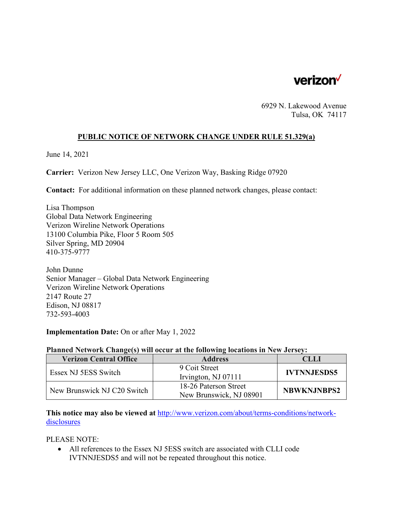

6929 N. Lakewood Avenue Tulsa, OK 74117

## **PUBLIC NOTICE OF NETWORK CHANGE UNDER RULE 51.329(a)**

June 14, 2021

**Carrier:** Verizon New Jersey LLC, One Verizon Way, Basking Ridge 07920

**Contact:** For additional information on these planned network changes, please contact:

Lisa Thompson Global Data Network Engineering Verizon Wireline Network Operations 13100 Columbia Pike, Floor 5 Room 505 Silver Spring, MD 20904 410-375-9777

John Dunne Senior Manager – Global Data Network Engineering Verizon Wireline Network Operations 2147 Route 27 Edison, NJ 08817 732-593-4003

**Implementation Date:** On or after May 1, 2022

## **Planned Network Change(s) will occur at the following locations in New Jersey:**

| <b>Verizon Central Office</b> | <b>Address</b>          | CLLI               |
|-------------------------------|-------------------------|--------------------|
| Essex NJ 5ESS Switch          | 9 Coit Street           | <b>IVTNNJESDS5</b> |
|                               | Irvington, NJ 07111     |                    |
| New Brunswick NJ C20 Switch   | 18-26 Paterson Street   | <b>NBWKNJNBPS2</b> |
|                               | New Brunswick, NJ 08901 |                    |

**This notice may also be viewed at** http://www.verizon.com/about/terms-conditions/networkdisclosures

PLEASE NOTE:

 All references to the Essex NJ 5ESS switch are associated with CLLI code IVTNNJESDS5 and will not be repeated throughout this notice.